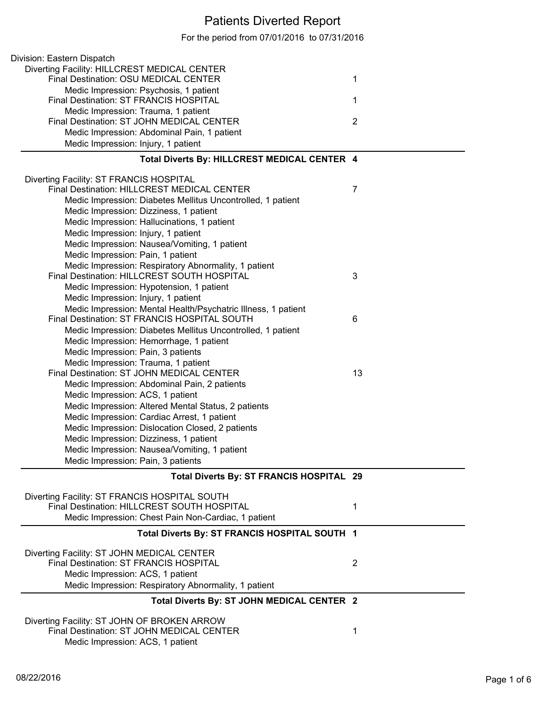## Patients Diverted Report

For the period from 07/01/2016 to 07/31/2016

| Division: Eastern Dispatch                                                                          |                |
|-----------------------------------------------------------------------------------------------------|----------------|
| Diverting Facility: HILLCREST MEDICAL CENTER                                                        |                |
| Final Destination: OSU MEDICAL CENTER                                                               | 1              |
| Medic Impression: Psychosis, 1 patient                                                              |                |
| Final Destination: ST FRANCIS HOSPITAL                                                              | 1              |
| Medic Impression: Trauma, 1 patient                                                                 |                |
| Final Destination: ST JOHN MEDICAL CENTER                                                           | $\overline{2}$ |
| Medic Impression: Abdominal Pain, 1 patient                                                         |                |
| Medic Impression: Injury, 1 patient                                                                 |                |
|                                                                                                     |                |
| Total Diverts By: HILLCREST MEDICAL CENTER 4                                                        |                |
| Diverting Facility: ST FRANCIS HOSPITAL                                                             |                |
| <b>Final Destination: HILLCREST MEDICAL CENTER</b>                                                  | $\overline{7}$ |
| Medic Impression: Diabetes Mellitus Uncontrolled, 1 patient                                         |                |
| Medic Impression: Dizziness, 1 patient                                                              |                |
| Medic Impression: Hallucinations, 1 patient                                                         |                |
| Medic Impression: Injury, 1 patient                                                                 |                |
| Medic Impression: Nausea/Vomiting, 1 patient                                                        |                |
| Medic Impression: Pain, 1 patient                                                                   |                |
|                                                                                                     |                |
| Medic Impression: Respiratory Abnormality, 1 patient<br>Final Destination: HILLCREST SOUTH HOSPITAL |                |
|                                                                                                     | 3              |
| Medic Impression: Hypotension, 1 patient                                                            |                |
| Medic Impression: Injury, 1 patient                                                                 |                |
| Medic Impression: Mental Health/Psychatric Illness, 1 patient                                       |                |
| Final Destination: ST FRANCIS HOSPITAL SOUTH                                                        | 6              |
| Medic Impression: Diabetes Mellitus Uncontrolled, 1 patient                                         |                |
| Medic Impression: Hemorrhage, 1 patient                                                             |                |
| Medic Impression: Pain, 3 patients                                                                  |                |
| Medic Impression: Trauma, 1 patient                                                                 |                |
| Final Destination: ST JOHN MEDICAL CENTER                                                           | 13             |
| Medic Impression: Abdominal Pain, 2 patients                                                        |                |
| Medic Impression: ACS, 1 patient                                                                    |                |
| Medic Impression: Altered Mental Status, 2 patients                                                 |                |
| Medic Impression: Cardiac Arrest, 1 patient                                                         |                |
| Medic Impression: Dislocation Closed, 2 patients                                                    |                |
| Medic Impression: Dizziness, 1 patient                                                              |                |
| Medic Impression: Nausea/Vomiting, 1 patient                                                        |                |
| Medic Impression: Pain, 3 patients                                                                  |                |
| Total Diverts By: ST FRANCIS HOSPITAL 29                                                            |                |
|                                                                                                     |                |
| Diverting Facility: ST FRANCIS HOSPITAL SOUTH<br>Final Destination: HILLCREST SOUTH HOSPITAL        |                |
|                                                                                                     | 1              |
| Medic Impression: Chest Pain Non-Cardiac, 1 patient                                                 |                |
| Total Diverts By: ST FRANCIS HOSPITAL SOUTH 1                                                       |                |
|                                                                                                     |                |
| Diverting Facility: ST JOHN MEDICAL CENTER                                                          |                |
| Final Destination: ST FRANCIS HOSPITAL                                                              | $\overline{2}$ |
| Medic Impression: ACS, 1 patient                                                                    |                |
| Medic Impression: Respiratory Abnormality, 1 patient                                                |                |
| Total Diverts By: ST JOHN MEDICAL CENTER 2                                                          |                |
|                                                                                                     |                |
| Diverting Facility: ST JOHN OF BROKEN ARROW<br>Final Destination: ST JOHN MEDICAL CENTER            | 1              |
| Medic Impression: ACS, 1 patient                                                                    |                |
|                                                                                                     |                |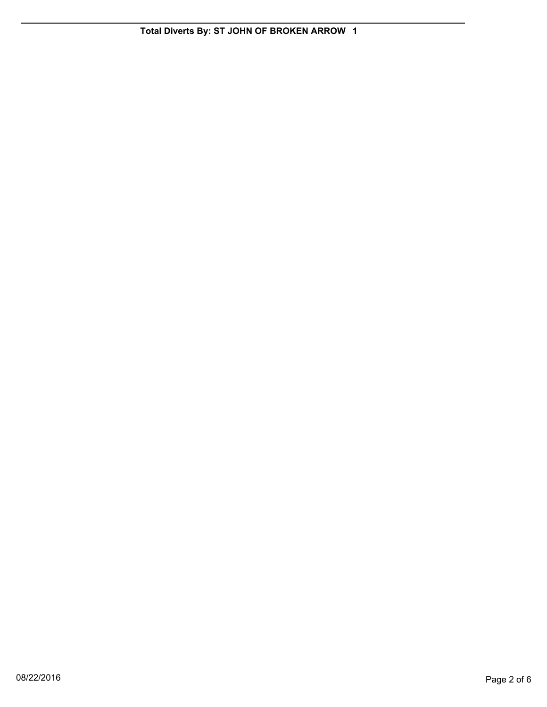**Total Diverts By: ST JOHN OF BROKEN ARROW 1**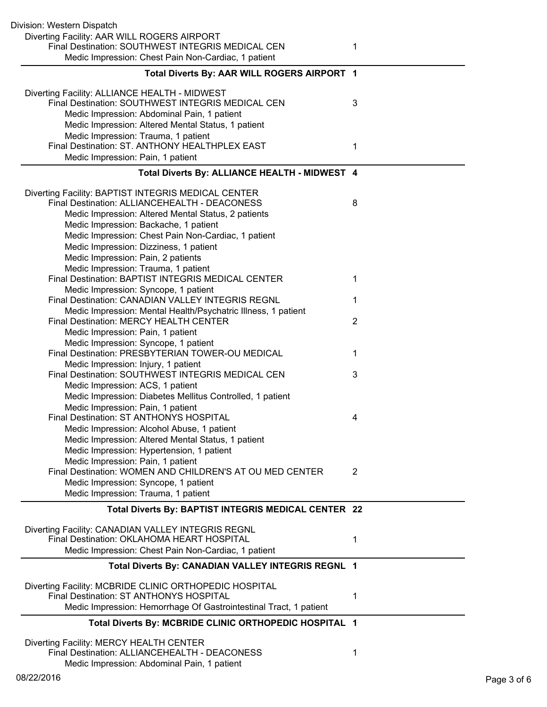| Division: Western Dispatch                                                                              |   |
|---------------------------------------------------------------------------------------------------------|---|
| Diverting Facility: AAR WILL ROGERS AIRPORT                                                             |   |
| Final Destination: SOUTHWEST INTEGRIS MEDICAL CEN                                                       | 1 |
| Medic Impression: Chest Pain Non-Cardiac, 1 patient                                                     |   |
| Total Diverts By: AAR WILL ROGERS AIRPORT 1                                                             |   |
|                                                                                                         |   |
| Diverting Facility: ALLIANCE HEALTH - MIDWEST                                                           |   |
| Final Destination: SOUTHWEST INTEGRIS MEDICAL CEN                                                       | 3 |
| Medic Impression: Abdominal Pain, 1 patient                                                             |   |
| Medic Impression: Altered Mental Status, 1 patient                                                      |   |
| Medic Impression: Trauma, 1 patient                                                                     |   |
| Final Destination: ST. ANTHONY HEALTHPLEX EAST                                                          | 1 |
| Medic Impression: Pain, 1 patient                                                                       |   |
| Total Diverts By: ALLIANCE HEALTH - MIDWEST 4                                                           |   |
|                                                                                                         |   |
| Diverting Facility: BAPTIST INTEGRIS MEDICAL CENTER                                                     |   |
| Final Destination: ALLIANCEHEALTH - DEACONESS                                                           | 8 |
| Medic Impression: Altered Mental Status, 2 patients                                                     |   |
| Medic Impression: Backache, 1 patient                                                                   |   |
| Medic Impression: Chest Pain Non-Cardiac, 1 patient                                                     |   |
| Medic Impression: Dizziness, 1 patient                                                                  |   |
| Medic Impression: Pain, 2 patients                                                                      |   |
| Medic Impression: Trauma, 1 patient                                                                     |   |
| Final Destination: BAPTIST INTEGRIS MEDICAL CENTER                                                      | 1 |
| Medic Impression: Syncope, 1 patient                                                                    |   |
| Final Destination: CANADIAN VALLEY INTEGRIS REGNL                                                       | 1 |
|                                                                                                         |   |
| Medic Impression: Mental Health/Psychatric Illness, 1 patient<br>Final Destination: MERCY HEALTH CENTER | 2 |
|                                                                                                         |   |
| Medic Impression: Pain, 1 patient                                                                       |   |
| Medic Impression: Syncope, 1 patient                                                                    |   |
| Final Destination: PRESBYTERIAN TOWER-OU MEDICAL                                                        | 1 |
| Medic Impression: Injury, 1 patient                                                                     |   |
| Final Destination: SOUTHWEST INTEGRIS MEDICAL CEN                                                       | 3 |
| Medic Impression: ACS, 1 patient                                                                        |   |
| Medic Impression: Diabetes Mellitus Controlled, 1 patient                                               |   |
| Medic Impression: Pain, 1 patient                                                                       |   |
| Final Destination: ST ANTHONYS HOSPITAL                                                                 | 4 |
| Medic Impression: Alcohol Abuse, 1 patient                                                              |   |
| Medic Impression: Altered Mental Status, 1 patient                                                      |   |
| Medic Impression: Hypertension, 1 patient                                                               |   |
| Medic Impression: Pain, 1 patient                                                                       |   |
| Final Destination: WOMEN AND CHILDREN'S AT OU MED CENTER                                                | 2 |
| Medic Impression: Syncope, 1 patient                                                                    |   |
| Medic Impression: Trauma, 1 patient                                                                     |   |
| Total Diverts By: BAPTIST INTEGRIS MEDICAL CENTER 22                                                    |   |
| Diverting Facility: CANADIAN VALLEY INTEGRIS REGNL                                                      |   |
| Final Destination: OKLAHOMA HEART HOSPITAL                                                              | 1 |
| Medic Impression: Chest Pain Non-Cardiac, 1 patient                                                     |   |
|                                                                                                         |   |
| Total Diverts By: CANADIAN VALLEY INTEGRIS REGNL 1                                                      |   |
| Diverting Facility: MCBRIDE CLINIC ORTHOPEDIC HOSPITAL                                                  |   |
| Final Destination: ST ANTHONYS HOSPITAL                                                                 | 1 |
| Medic Impression: Hemorrhage Of Gastrointestinal Tract, 1 patient                                       |   |
|                                                                                                         |   |
| Total Diverts By: MCBRIDE CLINIC ORTHOPEDIC HOSPITAL 1                                                  |   |
| Diverting Facility: MERCY HEALTH CENTER                                                                 |   |
| Final Destination: ALLIANCEHEALTH - DEACONESS                                                           | 1 |
| Medic Impression: Abdominal Pain, 1 patient                                                             |   |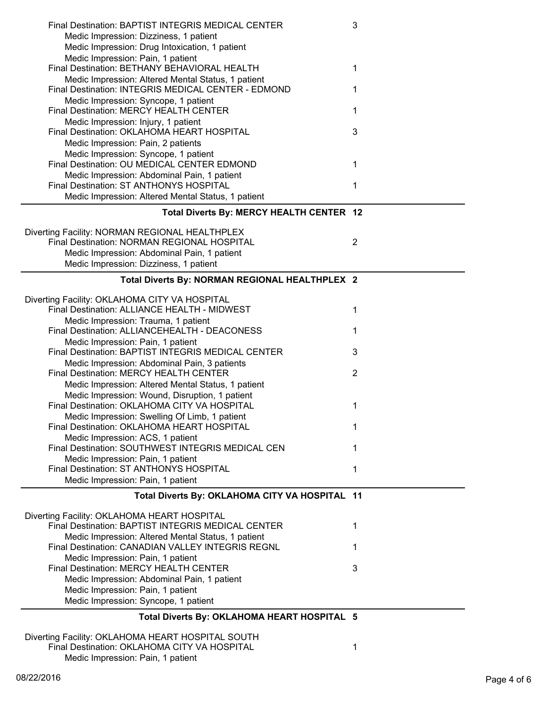| Final Destination: BAPTIST INTEGRIS MEDICAL CENTER                                                      | 3              |
|---------------------------------------------------------------------------------------------------------|----------------|
| Medic Impression: Dizziness, 1 patient                                                                  |                |
| Medic Impression: Drug Intoxication, 1 patient                                                          |                |
| Medic Impression: Pain, 1 patient                                                                       |                |
| Final Destination: BETHANY BEHAVIORAL HEALTH<br>Medic Impression: Altered Mental Status, 1 patient      | 1              |
| Final Destination: INTEGRIS MEDICAL CENTER - EDMOND                                                     |                |
| Medic Impression: Syncope, 1 patient                                                                    |                |
| Final Destination: MERCY HEALTH CENTER                                                                  | 1              |
| Medic Impression: Injury, 1 patient                                                                     |                |
| Final Destination: OKLAHOMA HEART HOSPITAL                                                              | 3              |
| Medic Impression: Pain, 2 patients                                                                      |                |
| Medic Impression: Syncope, 1 patient                                                                    |                |
| Final Destination: OU MEDICAL CENTER EDMOND                                                             | 1              |
| Medic Impression: Abdominal Pain, 1 patient<br>Final Destination: ST ANTHONYS HOSPITAL                  | 1              |
| Medic Impression: Altered Mental Status, 1 patient                                                      |                |
|                                                                                                         |                |
| Total Diverts By: MERCY HEALTH CENTER 12                                                                |                |
| Diverting Facility: NORMAN REGIONAL HEALTHPLEX                                                          |                |
| Final Destination: NORMAN REGIONAL HOSPITAL                                                             | $\overline{2}$ |
| Medic Impression: Abdominal Pain, 1 patient                                                             |                |
| Medic Impression: Dizziness, 1 patient                                                                  |                |
| Total Diverts By: NORMAN REGIONAL HEALTHPLEX 2                                                          |                |
|                                                                                                         |                |
| Diverting Facility: OKLAHOMA CITY VA HOSPITAL                                                           |                |
| Final Destination: ALLIANCE HEALTH - MIDWEST                                                            | 1              |
| Medic Impression: Trauma, 1 patient<br>Final Destination: ALLIANCEHEALTH - DEACONESS                    | 1              |
| Medic Impression: Pain, 1 patient                                                                       |                |
| Final Destination: BAPTIST INTEGRIS MEDICAL CENTER                                                      | 3              |
| Medic Impression: Abdominal Pain, 3 patients                                                            |                |
| Final Destination: MERCY HEALTH CENTER                                                                  | $\overline{2}$ |
| Medic Impression: Altered Mental Status, 1 patient                                                      |                |
| Medic Impression: Wound, Disruption, 1 patient                                                          |                |
| Final Destination: OKLAHOMA CITY VA HOSPITAL                                                            | 1              |
| Medic Impression: Swelling Of Limb, 1 patient                                                           |                |
| Final Destination: OKLAHOMA HEART HOSPITAL<br>Medic Impression: ACS, 1 patient                          |                |
| Final Destination: SOUTHWEST INTEGRIS MEDICAL CEN                                                       |                |
| Medic Impression: Pain, 1 patient                                                                       |                |
| Final Destination: ST ANTHONYS HOSPITAL                                                                 | 1              |
| Medic Impression: Pain, 1 patient                                                                       |                |
| Total Diverts By: OKLAHOMA CITY VA HOSPITAL 11                                                          |                |
|                                                                                                         |                |
| Diverting Facility: OKLAHOMA HEART HOSPITAL                                                             |                |
| Final Destination: BAPTIST INTEGRIS MEDICAL CENTER                                                      | 1              |
| Medic Impression: Altered Mental Status, 1 patient<br>Final Destination: CANADIAN VALLEY INTEGRIS REGNL |                |
| Medic Impression: Pain, 1 patient                                                                       | 1              |
| Final Destination: MERCY HEALTH CENTER                                                                  | 3              |
| Medic Impression: Abdominal Pain, 1 patient                                                             |                |
| Medic Impression: Pain, 1 patient                                                                       |                |
| Medic Impression: Syncope, 1 patient                                                                    |                |
| Total Diverts By: OKLAHOMA HEART HOSPITAL 5                                                             |                |
|                                                                                                         |                |
| Diverting Facility: OKLAHOMA HEART HOSPITAL SOUTH<br>Final Destination: OKLAHOMA CITY VA HOSPITAL       | 1              |
| Medic Impression: Pain, 1 patient                                                                       |                |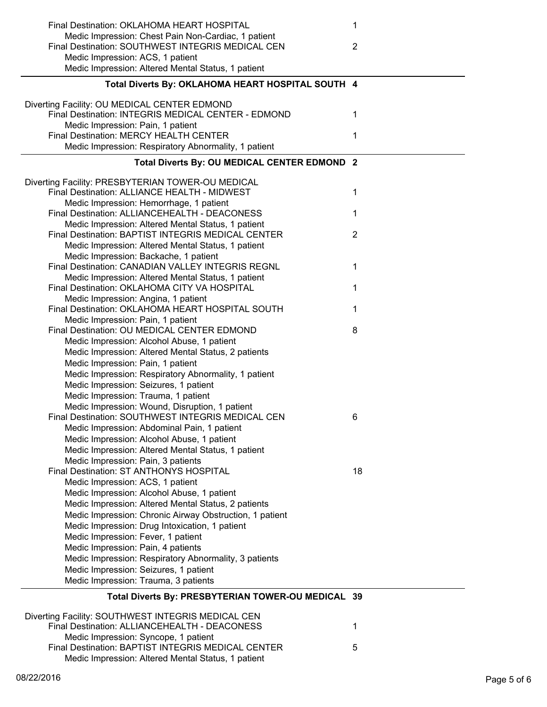| Final Destination: OKLAHOMA HEART HOSPITAL                                                          | 1              |
|-----------------------------------------------------------------------------------------------------|----------------|
| Medic Impression: Chest Pain Non-Cardiac, 1 patient                                                 |                |
| Final Destination: SOUTHWEST INTEGRIS MEDICAL CEN                                                   | $\overline{2}$ |
| Medic Impression: ACS, 1 patient<br>Medic Impression: Altered Mental Status, 1 patient              |                |
|                                                                                                     |                |
| Total Diverts By: OKLAHOMA HEART HOSPITAL SOUTH 4                                                   |                |
| Diverting Facility: OU MEDICAL CENTER EDMOND                                                        |                |
| Final Destination: INTEGRIS MEDICAL CENTER - EDMOND                                                 | 1              |
| Medic Impression: Pain, 1 patient                                                                   |                |
| Final Destination: MERCY HEALTH CENTER                                                              | 1              |
| Medic Impression: Respiratory Abnormality, 1 patient                                                |                |
| Total Diverts By: OU MEDICAL CENTER EDMOND 2                                                        |                |
| Diverting Facility: PRESBYTERIAN TOWER-OU MEDICAL                                                   |                |
| Final Destination: ALLIANCE HEALTH - MIDWEST                                                        | 1              |
| Medic Impression: Hemorrhage, 1 patient                                                             |                |
| Final Destination: ALLIANCEHEALTH - DEACONESS                                                       | 1              |
| Medic Impression: Altered Mental Status, 1 patient                                                  |                |
| Final Destination: BAPTIST INTEGRIS MEDICAL CENTER                                                  | 2              |
| Medic Impression: Altered Mental Status, 1 patient                                                  |                |
| Medic Impression: Backache, 1 patient<br>Final Destination: CANADIAN VALLEY INTEGRIS REGNL          |                |
| Medic Impression: Altered Mental Status, 1 patient                                                  | 1              |
| Final Destination: OKLAHOMA CITY VA HOSPITAL                                                        | 1              |
| Medic Impression: Angina, 1 patient                                                                 |                |
| Final Destination: OKLAHOMA HEART HOSPITAL SOUTH                                                    | 1              |
| Medic Impression: Pain, 1 patient                                                                   |                |
| Final Destination: OU MEDICAL CENTER EDMOND                                                         | 8              |
| Medic Impression: Alcohol Abuse, 1 patient                                                          |                |
| Medic Impression: Altered Mental Status, 2 patients                                                 |                |
| Medic Impression: Pain, 1 patient                                                                   |                |
| Medic Impression: Respiratory Abnormality, 1 patient                                                |                |
| Medic Impression: Seizures, 1 patient                                                               |                |
| Medic Impression: Trauma, 1 patient                                                                 |                |
| Medic Impression: Wound, Disruption, 1 patient<br>Final Destination: SOUTHWEST INTEGRIS MEDICAL CEN |                |
| Medic Impression: Abdominal Pain, 1 patient                                                         | 6              |
| Medic Impression: Alcohol Abuse, 1 patient                                                          |                |
| Medic Impression: Altered Mental Status, 1 patient                                                  |                |
| Medic Impression: Pain, 3 patients                                                                  |                |
| Final Destination: ST ANTHONYS HOSPITAL                                                             | 18             |
| Medic Impression: ACS, 1 patient                                                                    |                |
| Medic Impression: Alcohol Abuse, 1 patient                                                          |                |
| Medic Impression: Altered Mental Status, 2 patients                                                 |                |
| Medic Impression: Chronic Airway Obstruction, 1 patient                                             |                |
| Medic Impression: Drug Intoxication, 1 patient                                                      |                |
| Medic Impression: Fever, 1 patient                                                                  |                |
| Medic Impression: Pain, 4 patients                                                                  |                |
| Medic Impression: Respiratory Abnormality, 3 patients                                               |                |
| Medic Impression: Seizures, 1 patient                                                               |                |
| Medic Impression: Trauma, 3 patients                                                                |                |
| Total Diverts By: PRESBYTERIAN TOWER-OU MEDICAL 39                                                  |                |
| Diverting Facility: SOUTHWEST INTEGRIS MEDICAL CEN                                                  |                |
| Final Destination: ALLIANCEHEALTH - DEACONESS                                                       | 1              |
| Medic Impression: Syncope, 1 patient                                                                |                |
| Final Destination: BAPTIST INTEGRIS MEDICAL CENTER                                                  | 5              |
| Medic Impression: Altered Mental Status, 1 patient                                                  |                |